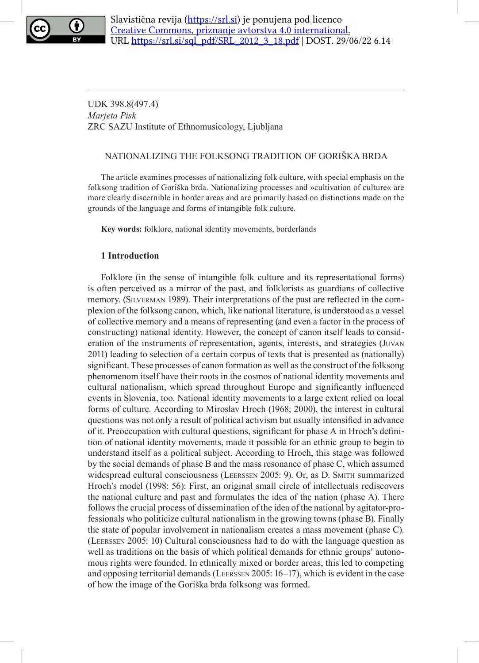

UDK 398.8(497.4) *Marjeta Pisk* ZRC SAZU Institute of Ethnomusicology, Ljubljana

# NATIONALIZING THE FOLKSONG TRADITION OF GORIŠKA BRDA

The article examines processes of nationalizing folk culture, with special emphasis on the folksong tradition of Goriška brda. Nationalizing processes and »cultivation of culture« are more clearly discernible in border areas and are primarily based on distinctions made on the grounds of the language and forms of intangible folk culture.

**Key words:** folklore, national identity movements, borderlands

## **1 Introduction**

Folklore (in the sense of intangible folk culture and its representational forms) is often perceived as a mirror of the past, and folklorists as guardians of collective memory. (Silverman 1989). Their interpretations of the past are reflected in the complexion of the folksong canon, which, like national literature, is understood as a vessel of collective memory and a means of representing (and even a factor in the process of constructing) national identity. However, the concept of canon itself leads to consideration of the instruments of representation, agents, interests, and strategies (Juvan 2011) leading to selection of a certain corpus of texts that is presented as (nationally) significant. These processes of canon formation as well as the construct of the folksong phenomenom itself have their roots in the cosmos of national identity movements and cultural nationalism, which spread throughout Europe and significantly influenced events in Slovenia, too. National identity movements to a large extent relied on local forms of culture. According to Miroslav Hroch (1968; 2000), the interest in cultural questions was not only a result of political activism but usually intensified in advance of it. Preoccupation with cultural questions, significant for phase A in Hroch's definition of national identity movements, made it possible for an ethnic group to begin to understand itself as a political subject. According to Hroch, this stage was followed by the social demands of phase B and the mass resonance of phase C, which assumed widespread cultural consciousness (Leerssen 2005: 9). Or, as D. Smith summarized Hroch's model (1998: 56): First, an original small circle of intellectuals rediscovers the national culture and past and formulates the idea of the nation (phase A). There follows the crucial process of dissemination of the idea of the national by agitator-professionals who politicize cultural nationalism in the growing towns (phase B). Finally the state of popular involvement in nationalism creates a mass movement (phase C). (Leerssen 2005: 10) Cultural consciousness had to do with the language question as well as traditions on the basis of which political demands for ethnic groups' autonomous rights were founded. In ethnically mixed or border areas, this led to competing and opposing territorial demands (Leerssen 2005: 16–17), which is evident in the case of how the image of the Goriška brda folksong was formed.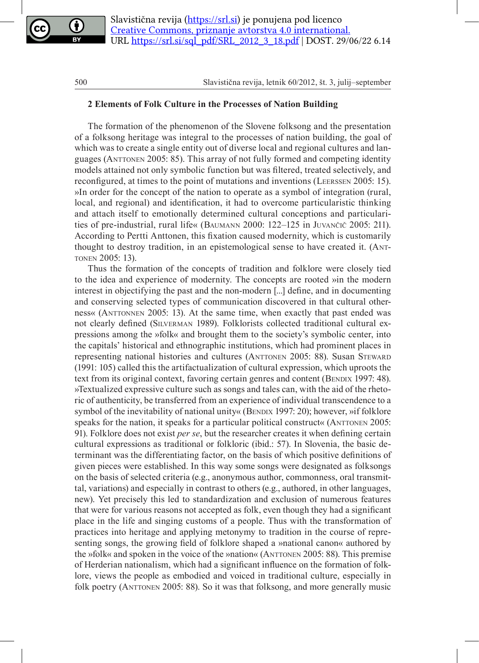

### **2 Elements of Folk Culture in the Processes of Nation Building**

The formation of the phenomenon of the Slovene folksong and the presentation of a folksong heritage was integral to the processes of nation building, the goal of which was to create a single entity out of diverse local and regional cultures and languages (Anttonen 2005: 85). This array of not fully formed and competing identity models attained not only symbolic function but was filtered, treated selectively, and reconfigured, at times to the point of mutations and inventions (Leerssen 2005: 15). »In order for the concept of the nation to operate as a symbol of integration (rural, local, and regional) and identification, it had to overcome particularistic thinking and attach itself to emotionally determined cultural conceptions and particularities of pre-industrial, rural life« (Baumann 2000: 122–125 in Juvančič 2005: 211). According to Pertti Anttonen, this fixation caused modernity, which is customarily thought to destroy tradition, in an epistemological sense to have created it. (Anttonen 2005: 13).

Thus the formation of the concepts of tradition and folklore were closely tied to the idea and experience of modernity. The concepts are rooted »in the modern interest in objectifying the past and the non-modern [...] define, and in documenting and conserving selected types of communication discovered in that cultural otherness« (Anttonnen 2005: 13). At the same time, when exactly that past ended was not clearly defined (Silverman 1989). Folklorists collected traditional cultural expressions among the »folk« and brought them to the society's symbolic center, into the capitals' historical and ethnographic institutions, which had prominent places in representing national histories and cultures (ANTTONEN 2005: 88). Susan STEWARD (1991: 105) called this the artifactualization of cultural expression, which uproots the text from its original context, favoring certain genres and content (BENDIX 1997: 48). »Textualized expressive culture such as songs and tales can, with the aid of the rhetoric of authenticity, be transferred from an experience of individual transcendence to a symbol of the inevitability of national unity« (BENDIX 1997: 20); however, »if folklore speaks for the nation, it speaks for a particular political construct« (ANTTONEN 2005: 91). Folklore does not exist *per se*, but the researcher creates it when defining certain cultural expressions as traditional or folkloric (ibid.: 57). In Slovenia, the basic determinant was the differentiating factor, on the basis of which positive definitions of given pieces were established. In this way some songs were designated as folksongs on the basis of selected criteria (e.g., anonymous author, commonness, oral transmittal, variations) and especially in contrast to others (e.g., authored, in other languages, new). Yet precisely this led to standardization and exclusion of numerous features that were for various reasons not accepted as folk, even though they had a significant place in the life and singing customs of a people. Thus with the transformation of practices into heritage and applying metonymy to tradition in the course of representing songs, the growing field of folklore shaped a »national canon« authored by the »folk« and spoken in the voice of the »nation« (Anttonen 2005: 88). This premise of Herderian nationalism, which had a significant influence on the formation of folklore, views the people as embodied and voiced in traditional culture, especially in folk poetry (ANTTONEN 2005: 88). So it was that folksong, and more generally music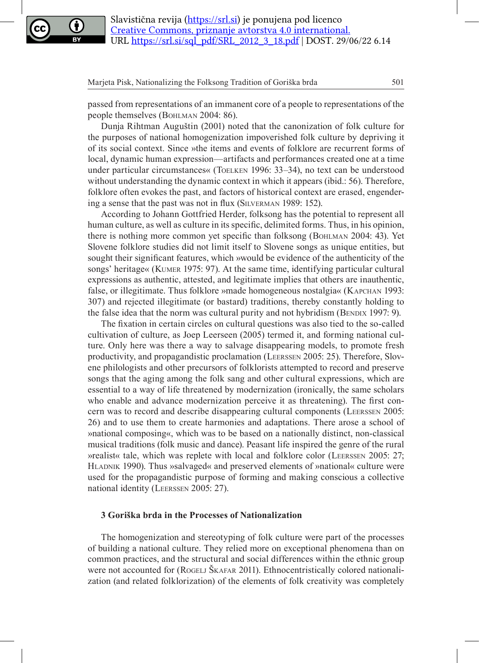

passed from representations of an immanent core of a people to representations of the people themselves (Bohlman 2004: 86).

Dunja Rihtman Auguštin (2001) noted that the canonization of folk culture for the purposes of national homogenization impoverished folk culture by depriving it of its social context. Since »the items and events of folklore are recurrent forms of local, dynamic human expression—artifacts and performances created one at a time under particular circumstances« (Toelken 1996: 33–34), no text can be understood without understanding the dynamic context in which it appears (ibid.: 56). Therefore, folklore often evokes the past, and factors of historical context are erased, engendering a sense that the past was not in flux (Silverman 1989: 152).

According to Johann Gottfried Herder, folksong has the potential to represent all human culture, as well as culture in its specific, delimited forms. Thus, in his opinion, there is nothing more common yet specific than folksong (Bohlman 2004: 43). Yet Slovene folklore studies did not limit itself to Slovene songs as unique entities, but sought their significant features, which »would be evidence of the authenticity of the songs' heritage« (Kumer 1975: 97). At the same time, identifying particular cultural expressions as authentic, attested, and legitimate implies that others are inauthentic, false, or illegitimate. Thus folklore »made homogeneous nostalgia« (Kapchan 1993: 307) and rejected illegitimate (or bastard) traditions, thereby constantly holding to the false idea that the norm was cultural purity and not hybridism (BENDIX 1997: 9).

The fixation in certain circles on cultural questions was also tied to the so-called cultivation of culture, as Joep Leerseen (2005) termed it, and forming national culture. Only here was there a way to salvage disappearing models, to promote fresh productivity, and propagandistic proclamation (Leerssen 2005: 25). Therefore, Slovene philologists and other precursors of folklorists attempted to record and preserve songs that the aging among the folk sang and other cultural expressions, which are essential to a way of life threatened by modernization (ironically, the same scholars who enable and advance modernization perceive it as threatening). The first concern was to record and describe disappearing cultural components (Leerssen 2005: 26) and to use them to create harmonies and adaptations. There arose a school of »national composing«, which was to be based on a nationally distinct, non-classical musical traditions (folk music and dance). Peasant life inspired the genre of the rural »realist« tale, which was replete with local and folklore color (Leerssen 2005: 27; Hladnik 1990). Thus »salvaged« and preserved elements of »national« culture were used for the propagandistic purpose of forming and making conscious a collective national identity (Leerssen 2005: 27).

### **3 Goriška brda in the Processes of Nationalization**

The homogenization and stereotyping of folk culture were part of the processes of building a national culture. They relied more on exceptional phenomena than on common practices, and the structural and social differences within the ethnic group were not accounted for (ROGELJ SKAFAR 2011). Ethnocentristically colored nationalization (and related folklorization) of the elements of folk creativity was completely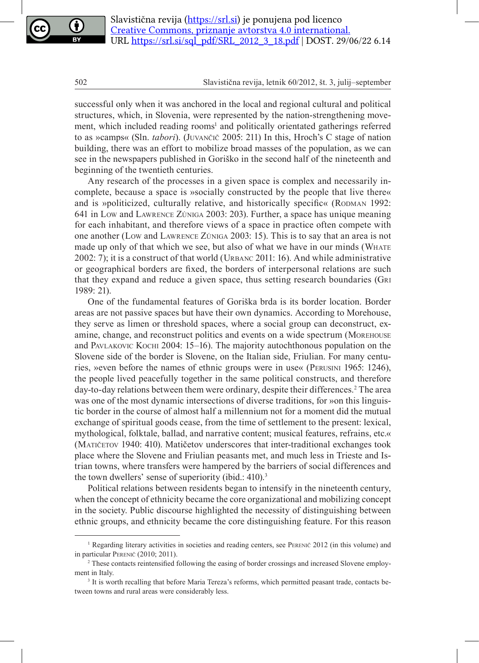successful only when it was anchored in the local and regional cultural and political structures, which, in Slovenia, were represented by the nation-strengthening movement, which included reading rooms<sup>1</sup> and politically orientated gatherings referred to as »camps« (Sln. *tabori*). (Juvančič 2005: 211) In this, Hroch's C stage of nation building, there was an effort to mobilize broad masses of the population, as we can see in the newspapers published in Goriško in the second half of the nineteenth and beginning of the twentieth centuries.

Any research of the processes in a given space is complex and necessarily incomplete, because a space is »socially constructed by the people that live there« and is »politicized, culturally relative, and historically specific« (RODMAN 1992: 641 in Low and Lawrence Zúniga 2003: 203). Further, a space has unique meaning for each inhabitant, and therefore views of a space in practice often compete with one another (Low and Lawrence Zúniga 2003: 15). This is to say that an area is not made up only of that which we see, but also of what we have in our minds (WHATE 2002: 7); it is a construct of that world (Urbanc 2011: 16). And while administrative or geographical borders are fixed, the borders of interpersonal relations are such that they expand and reduce a given space, thus setting research boundaries (Gri 1989: 21).

One of the fundamental features of Goriška brda is its border location. Border areas are not passive spaces but have their own dynamics. According to Morehouse, they serve as limen or threshold spaces, where a social group can deconstruct, examine, change, and reconstruct politics and events on a wide spectrum (Morehouse and PAVLAKOVIC KOCHI 2004: 15–16). The majority autochthonous population on the Slovene side of the border is Slovene, on the Italian side, Friulian. For many centuries, »even before the names of ethnic groups were in use« (Perusini 1965: 1246), the people lived peacefully together in the same political constructs, and therefore day-to-day relations between them were ordinary, despite their differences.<sup>2</sup> The area was one of the most dynamic intersections of diverse traditions, for »on this linguistic border in the course of almost half a millennium not for a moment did the mutual exchange of spiritual goods cease, from the time of settlement to the present: lexical, mythological, folktale, ballad, and narrative content; musical features, refrains, etc.« (Matičetov 1940: 410). Matičetov underscores that inter-traditional exchanges took place where the Slovene and Friulian peasants met, and much less in Trieste and Istrian towns, where transfers were hampered by the barriers of social differences and the town dwellers' sense of superiority (ibid.: 410).<sup>3</sup>

Political relations between residents began to intensify in the nineteenth century, when the concept of ethnicity became the core organizational and mobilizing concept in the society. Public discourse highlighted the necessity of distinguishing between ethnic groups, and ethnicity became the core distinguishing feature. For this reason

<sup>1</sup> Regarding literary activities in societies and reading centers, see Perenič 2012 (in this volume) and in particular Perenič (2010; 2011).

<sup>&</sup>lt;sup>2</sup> These contacts reintensified following the easing of border crossings and increased Slovene employment in Italy.

<sup>&</sup>lt;sup>3</sup> It is worth recalling that before Maria Tereza's reforms, which permitted peasant trade, contacts between towns and rural areas were considerably less.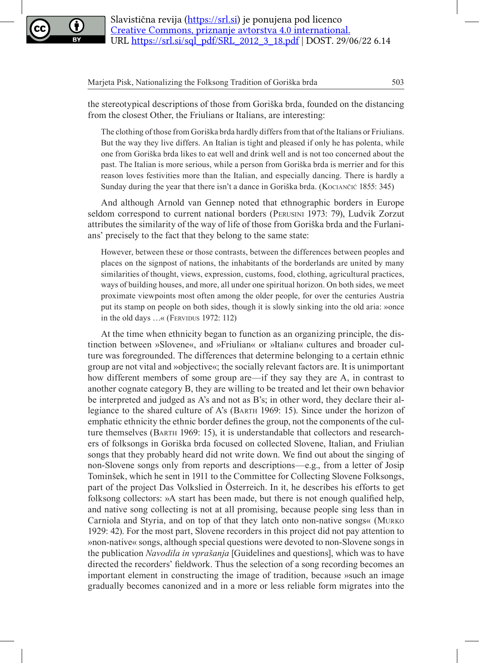

the stereotypical descriptions of those from Goriška brda, founded on the distancing from the closest Other, the Friulians or Italians, are interesting:

The clothing of those from Goriška brda hardly differs from that of the Italians or Friulians. But the way they live differs. An Italian is tight and pleased if only he has polenta, while one from Goriška brda likes to eat well and drink well and is not too concerned about the past. The Italian is more serious, while a person from Goriška brda is merrier and for this reason loves festivities more than the Italian, and especially dancing. There is hardly a Sunday during the year that there isn't a dance in Goriška brda. (Kociančić 1855: 345)

And although Arnold van Gennep noted that ethnographic borders in Europe seldom correspond to current national borders (Perusini 1973: 79), Ludvik Zorzut attributes the similarity of the way of life of those from Goriška brda and the Furlanians' precisely to the fact that they belong to the same state:

However, between these or those contrasts, between the differences between peoples and places on the signpost of nations, the inhabitants of the borderlands are united by many similarities of thought, views, expression, customs, food, clothing, agricultural practices, ways of building houses, and more, all under one spiritual horizon. On both sides, we meet proximate viewpoints most often among the older people, for over the centuries Austria put its stamp on people on both sides, though it is slowly sinking into the old aria: »once in the old days ...« (FERVIDUS 1972: 112)

At the time when ethnicity began to function as an organizing principle, the distinction between »Slovene«, and »Friulian« or »Italian« cultures and broader culture was foregrounded. The differences that determine belonging to a certain ethnic group are not vital and »objective«; the socially relevant factors are. It is unimportant how different members of some group are—if they say they are A, in contrast to another cognate category B, they are willing to be treated and let their own behavior be interpreted and judged as A's and not as B's; in other word, they declare their allegiance to the shared culture of A's (Barth 1969: 15). Since under the horizon of emphatic ethnicity the ethnic border defines the group, not the components of the culture themselves (Barth 1969: 15), it is understandable that collectors and researchers of folksongs in Goriška brda focused on collected Slovene, Italian, and Friulian songs that they probably heard did not write down. We find out about the singing of non-Slovene songs only from reports and descriptions—e.g., from a letter of Josip Tominšek, which he sent in 1911 to the Committee for Collecting Slovene Folksongs, part of the project Das Volkslied in Österreich. In it, he describes his efforts to get folksong collectors: »A start has been made, but there is not enough qualified help, and native song collecting is not at all promising, because people sing less than in Carniola and Styria, and on top of that they latch onto non-native songs« (Murko 1929: 42). For the most part, Slovene recorders in this project did not pay attention to »non-native« songs, although special questions were devoted to non-Slovene songs in the publication *Navodila in vprašanja* [Guidelines and questions], which was to have directed the recorders' fieldwork. Thus the selection of a song recording becomes an important element in constructing the image of tradition, because »such an image gradually becomes canonized and in a more or less reliable form migrates into the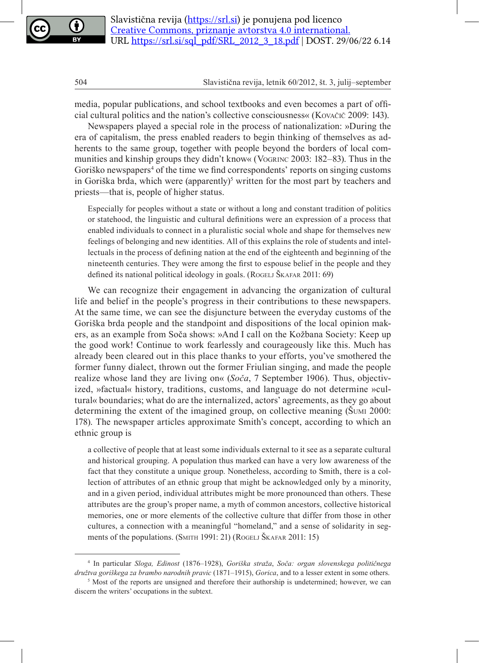media, popular publications, and school textbooks and even becomes a part of official cultural politics and the nation's collective consciousness« (Kovačič 2009: 143).

Newspapers played a special role in the process of nationalization: »During the era of capitalism, the press enabled readers to begin thinking of themselves as adherents to the same group, together with people beyond the borders of local communities and kinship groups they didn't know« (Vogrinc 2003: 182–83). Thus in the Goriško newspapers<sup>4</sup> of the time we find correspondents' reports on singing customs in Goriška brda, which were (apparently)<sup>5</sup> written for the most part by teachers and priests—that is, people of higher status.

Especially for peoples without a state or without a long and constant tradition of politics or statehood, the linguistic and cultural definitions were an expression of a process that enabled individuals to connect in a pluralistic social whole and shape for themselves new feelings of belonging and new identities. All of this explains the role of students and intellectuals in the process of defining nation at the end of the eighteenth and beginning of the nineteenth centuries. They were among the first to espouse belief in the people and they defined its national political ideology in goals. (ROGELJ ŠKAFAR 2011: 69)

We can recognize their engagement in advancing the organization of cultural life and belief in the people's progress in their contributions to these newspapers. At the same time, we can see the disjuncture between the everyday customs of the Goriška brda people and the standpoint and dispositions of the local opinion makers, as an example from Soča shows: »And I call on the Kožbana Society: Keep up the good work! Continue to work fearlessly and courageously like this. Much has already been cleared out in this place thanks to your efforts, you've smothered the former funny dialect, thrown out the former Friulian singing, and made the people realize whose land they are living on« (*Soča*, 7 September 1906). Thus, objectivized, »factual« history, traditions, customs, and language do not determine »cultural« boundaries; what do are the internalized, actors' agreements, as they go about determining the extent of the imagined group, on collective meaning (Šumi 2000: 178). The newspaper articles approximate Smith's concept, according to which an ethnic group is

a collective of people that at least some individuals external to it see as a separate cultural and historical grouping. A population thus marked can have a very low awareness of the fact that they constitute a unique group. Nonetheless, according to Smith, there is a collection of attributes of an ethnic group that might be acknowledged only by a minority, and in a given period, individual attributes might be more pronounced than others. These attributes are the group's proper name, a myth of common ancestors, collective historical memories, one or more elements of the collective culture that differ from those in other cultures, a connection with a meaningful "homeland," and a sense of solidarity in segments of the populations. (SMITH 1991: 21) (ROGELJ ŠKAFAR 2011: 15)

<sup>4</sup> In particular *Sloga, Edinost* (1876–1928), *Goriška straža*, *Soča: organ slovenskega političnega družtva goriškega za brambo narodnih pravic* (1871–1915), *Gorica*, and to a lesser extent in some others.

<sup>&</sup>lt;sup>5</sup> Most of the reports are unsigned and therefore their authorship is undetermined; however, we can discern the writers' occupations in the subtext.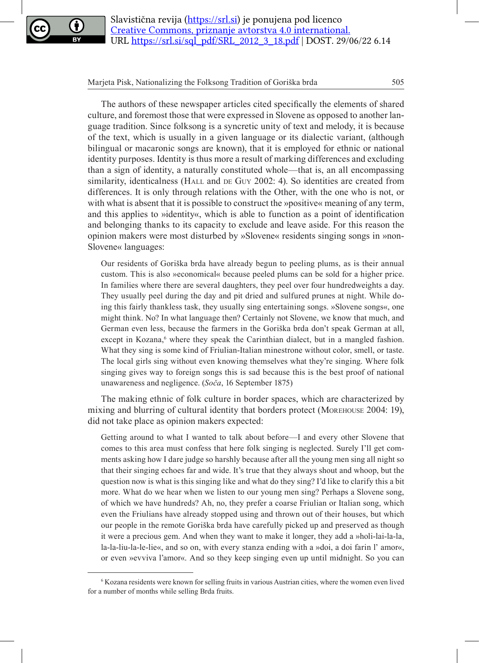

The authors of these newspaper articles cited specifically the elements of shared culture, and foremost those that were expressed in Slovene as opposed to another language tradition. Since folksong is a syncretic unity of text and melody, it is because of the text, which is usually in a given language or its dialectic variant, (although bilingual or macaronic songs are known), that it is employed for ethnic or national identity purposes. Identity is thus more a result of marking differences and excluding than a sign of identity, a naturally constituted whole—that is, an all encompassing similarity, identicalness (HALL and DE GUY 2002: 4). So identities are created from differences. It is only through relations with the Other, with the one who is not, or with what is absent that it is possible to construct the »positive« meaning of any term, and this applies to »identity«, which is able to function as a point of identification and belonging thanks to its capacity to exclude and leave aside. For this reason the opinion makers were most disturbed by »Slovene« residents singing songs in »non-Slovene« languages:

Our residents of Goriška brda have already begun to peeling plums, as is their annual custom. This is also »economical« because peeled plums can be sold for a higher price. In families where there are several daughters, they peel over four hundredweights a day. They usually peel during the day and pit dried and sulfured prunes at night. While doing this fairly thankless task, they usually sing entertaining songs. »Slovene songs«, one might think. No? In what language then? Certainly not Slovene, we know that much, and German even less, because the farmers in the Goriška brda don't speak German at all, except in Kozana,<sup>6</sup> where they speak the Carinthian dialect, but in a mangled fashion. What they sing is some kind of Friulian-Italian minestrone without color, smell, or taste. The local girls sing without even knowing themselves what they're singing. Where folk singing gives way to foreign songs this is sad because this is the best proof of national unawareness and negligence. (*Soča*, 16 September 1875)

The making ethnic of folk culture in border spaces, which are characterized by mixing and blurring of cultural identity that borders protect (Morehouse 2004: 19), did not take place as opinion makers expected:

Getting around to what I wanted to talk about before—I and every other Slovene that comes to this area must confess that here folk singing is neglected. Surely I'll get comments asking how I dare judge so harshly because after all the young men sing all night so that their singing echoes far and wide. It's true that they always shout and whoop, but the question now is what is this singing like and what do they sing? I'd like to clarify this a bit more. What do we hear when we listen to our young men sing? Perhaps a Slovene song, of which we have hundreds? Ah, no, they prefer a coarse Friulian or Italian song, which even the Friulians have already stopped using and thrown out of their houses, but which our people in the remote Goriška brda have carefully picked up and preserved as though it were a precious gem. And when they want to make it longer, they add a »holi-lai-la-la, la-la-liu-la-le-lie«, and so on, with every stanza ending with a »doi, a doi farin l' amor«, or even »evviva l'amor«. And so they keep singing even up until midnight. So you can

<sup>6</sup> Kozana residents were known for selling fruits in various Austrian cities, where the women even lived for a number of months while selling Brda fruits.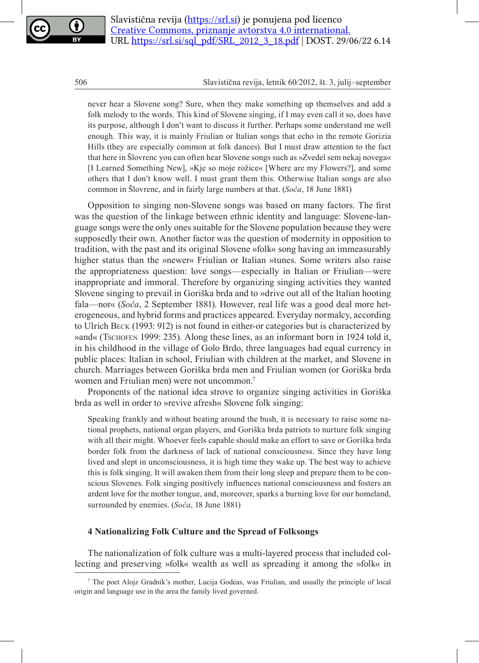never hear a Slovene song? Sure, when they make something up themselves and add a folk melody to the words. This kind of Slovene singing, if I may even call it so, does have its purpose, although I don't want to discuss it further. Perhaps some understand me well enough. This way, it is mainly Friulian or Italian songs that echo in the remote Gorizia Hills (they are especially common at folk dances). But I must draw attention to the fact that here in Šlovrenc you can often hear Slovene songs such as »Zvedel sem nekaj novega« [I Learned Something New], »Kje so moje rožice« [Where are my Flowers?], and some others that I don't know well. I must grant them this. Otherwise Italian songs are also common in Šlovrenc, and in fairly large numbers at that. (*Soča*, 18 June 1881)

Opposition to singing non-Slovene songs was based on many factors. The first was the question of the linkage between ethnic identity and language: Slovene-language songs were the only ones suitable for the Slovene population because they were supposedly their own. Another factor was the question of modernity in opposition to tradition, with the past and its original Slovene »folk« song having an immeasurably higher status than the »newer« Friulian or Italian »tunes. Some writers also raise the appropriateness question: love songs—especially in Italian or Friulian—were inappropriate and immoral. Therefore by organizing singing activities they wanted Slovene singing to prevail in Goriška brda and to »drive out all of the Italian hooting fala—nor« (*Soča*, 2 September 1881). However, real life was a good deal more heterogeneous, and hybrid forms and practices appeared. Everyday normalcy, according to Ulrich Beck (1993: 912) is not found in either-or categories but is characterized by »and« (Tschofen 1999: 235). Along these lines, as an informant born in 1924 told it, in his childhood in the village of Golo Brdo, three languages had equal currency in public places: Italian in school, Friulian with children at the market, and Slovene in church. Marriages between Goriška brda men and Friulian women (or Goriška brda women and Friulian men) were not uncommon.<sup>7</sup>

Proponents of the national idea strove to organize singing activities in Goriška brda as well in order to »revive afresh« Slovene folk singing:

Speaking frankly and without beating around the bush, it is necessary to raise some national prophets, national organ players, and Goriška brda patriots to nurture folk singing with all their might. Whoever feels capable should make an effort to save or Goriška brda border folk from the darkness of lack of national consciousness. Since they have long lived and slept in unconsciousness, it is high time they wake up. The best way to achieve this is folk singing. It will awaken them from their long sleep and prepare them to be conscious Slovenes. Folk singing positively influences national consciousness and fosters an ardent love for the mother tongue, and, moreover, sparks a burning love for our homeland, surrounded by enemies. (*Soča*, 18 June 1881)

### **4 Nationalizing Folk Culture and the Spread of Folksongs**

The nationalization of folk culture was a multi-layered process that included collecting and preserving »folk« wealth as well as spreading it among the »folk« in

<sup>7</sup> The poet Alojz Gradnik's mother, Lucija Godeas, was Friulian, and usually the principle of local origin and language use in the area the family lived governed.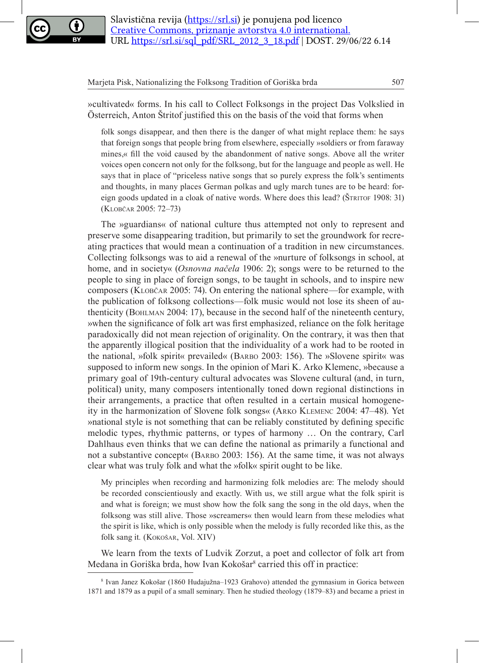

»cultivated« forms. In his call to Collect Folksongs in the project Das Volkslied in Österreich, Anton Štritof justified this on the basis of the void that forms when

folk songs disappear, and then there is the danger of what might replace them: he says that foreign songs that people bring from elsewhere, especially »soldiers or from faraway mines,« fill the void caused by the abandonment of native songs. Above all the writer voices open concern not only for the folksong, but for the language and people as well. He says that in place of "priceless native songs that so purely express the folk's sentiments and thoughts, in many places German polkas and ugly march tunes are to be heard: foreign goods updated in a cloak of native words. Where does this lead? (ŠTRITOF 1908: 31) (Klobčar 2005: 72–73)

The »guardians« of national culture thus attempted not only to represent and preserve some disappearing tradition, but primarily to set the groundwork for recreating practices that would mean a continuation of a tradition in new circumstances. Collecting folksongs was to aid a renewal of the »nurture of folksongs in school, at home, and in society« (*Osnovna načela* 1906: 2); songs were to be returned to the people to sing in place of foreign songs, to be taught in schools, and to inspire new composers (Klobčar 2005: 74). On entering the national sphere—for example, with the publication of folksong collections—folk music would not lose its sheen of authenticity (Bohlman 2004: 17), because in the second half of the nineteenth century, »when the significance of folk art was first emphasized, reliance on the folk heritage paradoxically did not mean rejection of originality. On the contrary, it was then that the apparently illogical position that the individuality of a work had to be rooted in the national, »folk spirit« prevailed« (Barbo 2003: 156). The »Slovene spirit« was supposed to inform new songs. In the opinion of Mari K. Arko Klemenc, »because a primary goal of 19th-century cultural advocates was Slovene cultural (and, in turn, political) unity, many composers intentionally toned down regional distinctions in their arrangements, a practice that often resulted in a certain musical homogeneity in the harmonization of Slovene folk songs« (Arko Klemenc 2004: 47–48). Yet »national style is not something that can be reliably constituted by defining specific melodic types, rhythmic patterns, or types of harmony … On the contrary, Carl Dahlhaus even thinks that we can define the national as primarily a functional and not a substantive concept« (Barbo 2003: 156). At the same time, it was not always clear what was truly folk and what the »folk« spirit ought to be like.

My principles when recording and harmonizing folk melodies are: The melody should be recorded conscientiously and exactly. With us, we still argue what the folk spirit is and what is foreign; we must show how the folk sang the song in the old days, when the folksong was still alive. Those »screamers« then would learn from these melodies what the spirit is like, which is only possible when the melody is fully recorded like this, as the folk sang it*.* (Kokošar, Vol. XIV)

We learn from the texts of Ludvik Zorzut, a poet and collector of folk art from Medana in Goriška brda, how Ivan Kokošar<sup>8</sup> carried this off in practice:

<sup>8</sup> Ivan Janez Kokošar (1860 Hudajužna–1923 Grahovo) attended the gymnasium in Gorica between 1871 and 1879 as a pupil of a small seminary. Then he studied theology (1879–83) and became a priest in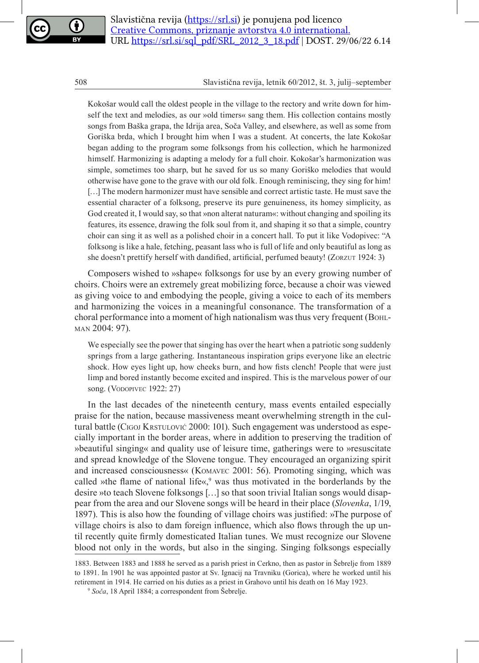Kokošar would call the oldest people in the village to the rectory and write down for himself the text and melodies, as our »old timers« sang them. His collection contains mostly songs from Baška grapa, the Idrija area, Soča Valley, and elsewhere, as well as some from Goriška brda, which I brought him when I was a student. At concerts, the late Kokošar began adding to the program some folksongs from his collection, which he harmonized himself. Harmonizing is adapting a melody for a full choir. Kokošar's harmonization was simple, sometimes too sharp, but he saved for us so many Goriško melodies that would otherwise have gone to the grave with our old folk. Enough reminiscing, they sing for him! [...] The modern harmonizer must have sensible and correct artistic taste. He must save the essential character of a folksong, preserve its pure genuineness, its homey simplicity, as God created it, I would say, so that »non alterat naturam«: without changing and spoiling its features, its essence, drawing the folk soul from it, and shaping it so that a simple, country choir can sing it as well as a polished choir in a concert hall. To put it like Vodopivec: "A folksong is like a hale, fetching, peasant lass who is full of life and only beautiful as long as she doesn't prettify herself with dandified, artificial, perfumed beauty! (Zorzut 1924: 3)

Composers wished to »shape« folksongs for use by an every growing number of choirs. Choirs were an extremely great mobilizing force, because a choir was viewed as giving voice to and embodying the people, giving a voice to each of its members and harmonizing the voices in a meaningful consonance. The transformation of a choral performance into a moment of high nationalism was thus very frequent (BOHLman 2004: 97).

We especially see the power that singing has over the heart when a patriotic song suddenly springs from a large gathering. Instantaneous inspiration grips everyone like an electric shock. How eyes light up, how cheeks burn, and how fists clench! People that were just limp and bored instantly become excited and inspired. This is the marvelous power of our song. (VODOPIVEC 1922: 27)

In the last decades of the nineteenth century, mass events entailed especially praise for the nation, because massiveness meant overwhelming strength in the cultural battle (Cigoj Krstulović 2000: 101). Such engagement was understood as especially important in the border areas, where in addition to preserving the tradition of »beautiful singing« and quality use of leisure time, gatherings were to »resuscitate and spread knowledge of the Slovene tongue. They encouraged an organizing spirit and increased consciousness« (Komavec 2001: 56). Promoting singing, which was called »the flame of national life«, $9$  was thus motivated in the borderlands by the desire »to teach Slovene folksongs […] so that soon trivial Italian songs would disappear from the area and our Slovene songs will be heard in their place (*Slovenka*, 1/19, 1897). This is also how the founding of village choirs was justified: »The purpose of village choirs is also to dam foreign influence, which also flows through the up until recently quite firmly domesticated Italian tunes. We must recognize our Slovene blood not only in the words, but also in the singing. Singing folksongs especially

<sup>1883.</sup> Between 1883 and 1888 he served as a parish priest in Cerkno, then as pastor in Šebrelje from 1889 to 1891. In 1901 he was appointed pastor at Sv. Ignacij na Travniku (Gorica), where he worked until his retirement in 1914. He carried on his duties as a priest in Grahovo until his death on 16 May 1923.

<sup>9</sup> *Soča*, 18 April 1884; a correspondent from Šebrelje.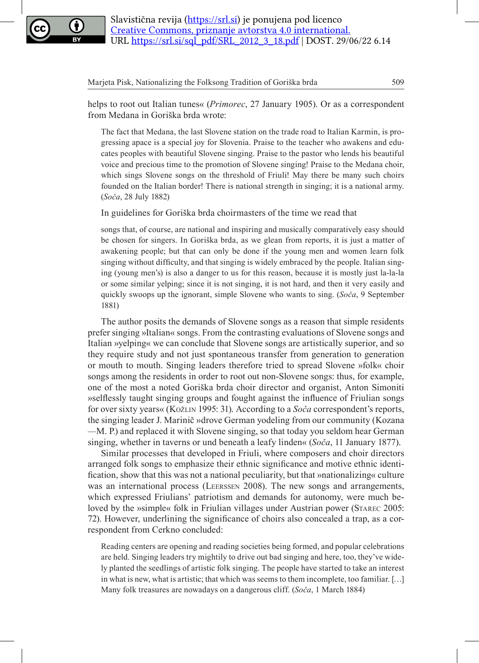

helps to root out Italian tunes« (*Primorec*, 27 January 1905). Or as a correspondent from Medana in Goriška brda wrote:

The fact that Medana, the last Slovene station on the trade road to Italian Karmin, is progressing apace is a special joy for Slovenia. Praise to the teacher who awakens and educates peoples with beautiful Slovene singing. Praise to the pastor who lends his beautiful voice and precious time to the promotion of Slovene singing! Praise to the Medana choir, which sings Slovene songs on the threshold of Friuli! May there be many such choirs founded on the Italian border! There is national strength in singing; it is a national army. (*Soča*, 28 July 1882)

In guidelines for Goriška brda choirmasters of the time we read that

songs that, of course, are national and inspiring and musically comparatively easy should be chosen for singers. In Goriška brda, as we glean from reports, it is just a matter of awakening people; but that can only be done if the young men and women learn folk singing without difficulty, and that singing is widely embraced by the people. Italian singing (young men's) is also a danger to us for this reason, because it is mostly just la-la-la or some similar yelping; since it is not singing, it is not hard, and then it very easily and quickly swoops up the ignorant, simple Slovene who wants to sing. (*Soča*, 9 September 1881)

The author posits the demands of Slovene songs as a reason that simple residents prefer singing »Italian« songs. From the contrasting evaluations of Slovene songs and Italian »yelping« we can conclude that Slovene songs are artistically superior, and so they require study and not just spontaneous transfer from generation to generation or mouth to mouth. Singing leaders therefore tried to spread Slovene »folk« choir songs among the residents in order to root out non-Slovene songs: thus, for example, one of the most a noted Goriška brda choir director and organist, Anton Simoniti »selflessly taught singing groups and fought against the influence of Friulian songs for over sixty years« (Kožlin 1995: 31). According to a *Soča* correspondent's reports, the singing leader J. Marinič »drove German yodeling from our community (Kozana *—*M. P*.*) and replaced it with Slovene singing, so that today you seldom hear German singing, whether in taverns or und beneath a leafy linden« (*Soča*, 11 January 1877).

Similar processes that developed in Friuli, where composers and choir directors arranged folk songs to emphasize their ethnic significance and motive ethnic identification, show that this was not a national peculiarity, but that »nationalizing« culture was an international process (Leerssen 2008). The new songs and arrangements, which expressed Friulians' patriotism and demands for autonomy, were much beloved by the »simple« folk in Friulian villages under Austrian power (STAREC 2005: 72). However, underlining the significance of choirs also concealed a trap, as a correspondent from Cerkno concluded:

Reading centers are opening and reading societies being formed, and popular celebrations are held. Singing leaders try mightily to drive out bad singing and here, too, they've widely planted the seedlings of artistic folk singing. The people have started to take an interest in what is new, what is artistic; that which was seems to them incomplete, too familiar. […] Many folk treasures are nowadays on a dangerous cliff. (*Soča*, 1 March 1884)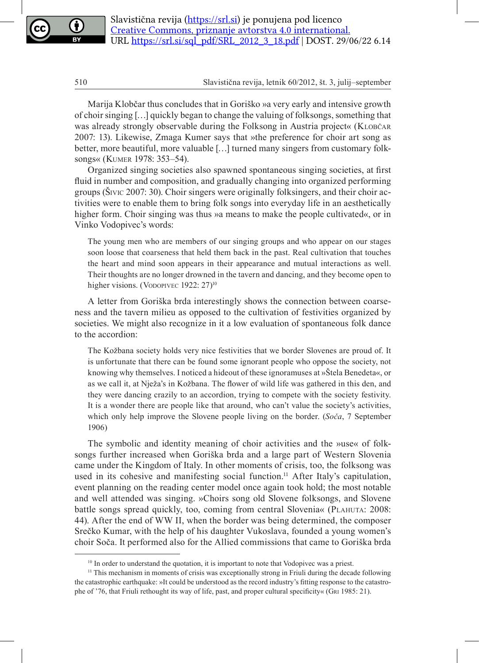Marija Klobčar thus concludes that in Goriško »a very early and intensive growth of choir singing […] quickly began to change the valuing of folksongs, something that was already strongly observable during the Folksong in Austria project« (KLOBČAR 2007: 13). Likewise, Zmaga Kumer says that »the preference for choir art song as better, more beautiful, more valuable […] turned many singers from customary folksongs« (Kumer 1978: 353–54).

Organized singing societies also spawned spontaneous singing societies, at first fluid in number and composition, and gradually changing into organized performing groups (Šivic 2007: 30). Choir singers were originally folksingers, and their choir activities were to enable them to bring folk songs into everyday life in an aesthetically higher form. Choir singing was thus »a means to make the people cultivated«, or in Vinko Vodopivec's words:

The young men who are members of our singing groups and who appear on our stages soon loose that coarseness that held them back in the past. Real cultivation that touches the heart and mind soon appears in their appearance and mutual interactions as well. Their thoughts are no longer drowned in the tavern and dancing, and they become open to higher visions. (VoDOPIVEC 1922: 27)<sup>10</sup>

A letter from Goriška brda interestingly shows the connection between coarseness and the tavern milieu as opposed to the cultivation of festivities organized by societies. We might also recognize in it a low evaluation of spontaneous folk dance to the accordion:

The Kožbana society holds very nice festivities that we border Slovenes are proud of. It is unfortunate that there can be found some ignorant people who oppose the society, not knowing why themselves. I noticed a hideout of these ignoramuses at »Štela Benedeta«, or as we call it, at Nježa's in Kožbana. The flower of wild life was gathered in this den, and they were dancing crazily to an accordion, trying to compete with the society festivity. It is a wonder there are people like that around, who can't value the society's activities, which only help improve the Slovene people living on the border. (*Soča*, 7 September 1906)

The symbolic and identity meaning of choir activities and the »use« of folksongs further increased when Goriška brda and a large part of Western Slovenia came under the Kingdom of Italy. In other moments of crisis, too, the folksong was used in its cohesive and manifesting social function.<sup>11</sup> After Italy's capitulation, event planning on the reading center model once again took hold; the most notable and well attended was singing. »Choirs song old Slovene folksongs, and Slovene battle songs spread quickly, too, coming from central Slovenia« (PLAHUTA: 2008: 44). After the end of WW II, when the border was being determined, the composer Srečko Kumar, with the help of his daughter Vukoslava, founded a young women's choir Soča. It performed also for the Allied commissions that came to Goriška brda

<sup>&</sup>lt;sup>10</sup> In order to understand the quotation, it is important to note that Vodopivec was a priest.

<sup>&</sup>lt;sup>11</sup> This mechanism in moments of crisis was exceptionally strong in Friuli during the decade following the catastrophic earthquake: »It could be understood as the record industry's fitting response to the catastrophe of '76, that Friuli rethought its way of life, past, and proper cultural specificity« (Gri 1985: 21).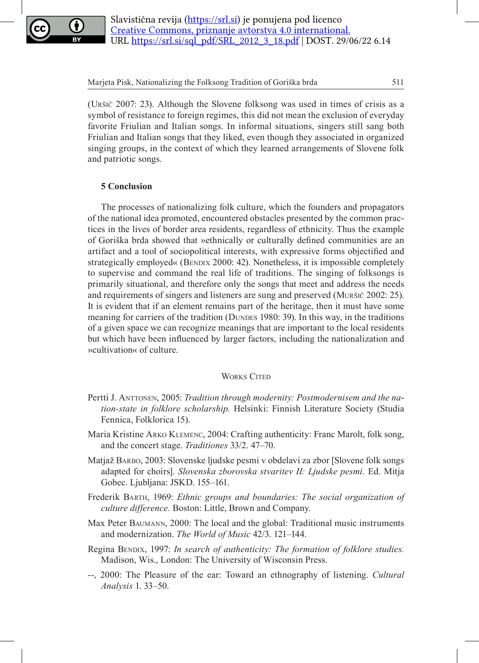

(Uršič 2007: 23). Although the Slovene folksong was used in times of crisis as a symbol of resistance to foreign regimes, this did not mean the exclusion of everyday favorite Friulian and Italian songs. In informal situations, singers still sang both Friulian and Italian songs that they liked, even though they associated in organized singing groups, in the context of which they learned arrangements of Slovene folk and patriotic songs.

# **5 Conclusion**

The processes of nationalizing folk culture, which the founders and propagators of the national idea promoted, encountered obstacles presented by the common practices in the lives of border area residents, regardless of ethnicity. Thus the example of Goriška brda showed that »ethnically or culturally defined communities are an artifact and a tool of sociopolitical interests, with expressive forms objectified and strategically employed« (BENDIX 2000: 42). Nonetheless, it is impossible completely to supervise and command the real life of traditions. The singing of folksongs is primarily situational, and therefore only the songs that meet and address the needs and requirements of singers and listeners are sung and preserved (Muršič 2002: 25). It is evident that if an element remains part of the heritage, then it must have some meaning for carriers of the tradition (DUNDES 1980: 39). In this way, in the traditions of a given space we can recognize meanings that are important to the local residents but which have been influenced by larger factors, including the nationalization and »cultivation« of culture.

## **WORKS CITED**

- Pertti J. ANTTONEN, 2005: *Tradition through modernity: Postmodernisem and the nation-state in folklore scholarship.* Helsinki: Finnish Literature Society (Studia Fennica, Folklorica 15).
- Maria Kristine Arko Klemenc, 2004: Crafting authenticity: Franc Marolt, folk song, and the concert stage. *Traditiones* 33/2. 47–70.
- Matjaž Barbo, 2003: Slovenske ljudske pesmi v obdelavi za zbor [Slovene folk songs adapted for choirs]. *Slovenska zborovska stvaritev II: Ljudske pesmi.* Ed. Mitja Gobec. Ljubljana: JSKD. 155–161.
- Frederik Barth, 1969: *Ethnic groups and boundaries: The social organization of culture difference.* Boston: Little, Brown and Company.
- Max Peter Baumann, 2000: The local and the global: Traditional music instruments and modernization. *The World of Music* 42/3. 121–144.
- Regina BENDIX, 1997: *In search of authenticity: The formation of folklore studies.* Madison, Wis., London: The University of Wisconsin Press.
- --, 2000: The Pleasure of the ear: Toward an ethnography of listening. *Cultural Analysis* 1. 33–50.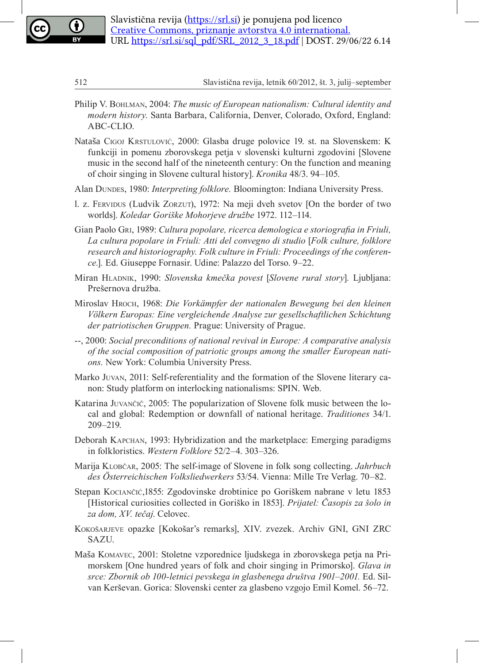

- Philip V. Bohlman, 2004: *The music of European nationalism: Cultural identity and modern history.* Santa Barbara, California, Denver, Colorado, Oxford, England: ABC-CLIO.
- Nataša Cigoj Krstulović, 2000: Glasba druge polovice 19. st. na Slovenskem: K funkciji in pomenu zborovskega petja v slovenski kulturni zgodovini [Slovene music in the second half of the nineteenth century: On the function and meaning of choir singing in Slovene cultural history]. *Kronika* 48/3. 94–105.
- Alan DUNDES, 1980: *Interpreting folklore*. Bloomington: Indiana University Press.
- l. z. Fervidus (Ludvik Zorzut), 1972: Na meji dveh svetov [On the border of two worlds]. *Koledar Goriške Mohorjeve družbe* 1972. 112–114.
- Gian Paolo Gri, 1989: *Cultura popolare, ricerca demologica e storiografia in Friuli, La cultura popolare in Friuli: Atti del convegno di studio* [*Folk culture, folklore research and historiography. Folk culture in Friuli: Proceedings of the conference.*]*.* Ed. Giuseppe Fornasir. Udine: Palazzo del Torso. 9–22.
- Miran Hladnik, 1990: *Slovenska kmečka povest* [*Slovene rural story*]*.* Ljubljana: Prešernova družba.
- Miroslav Hroch, 1968: *Die Vorkämpfer der nationalen Bewegung bei den kleinen Völkern Europas: Eine vergleichende Analyse zur gesellschaftlichen Schichtung der patriotischen Gruppen.* Prague: University of Prague.
- --, 2000: *Social preconditions of national revival in Europe: A comparative analysis of the social composition of patriotic groups among the smaller European nations.* New York: Columbia University Press.
- Marko Juvan, 2011: Self-referentiality and the formation of the Slovene literary canon: Study platform on interlocking nationalisms: SPIN. Web.
- Katarina Juvančič, 2005: The popularization of Slovene folk music between the local and global: Redemption or downfall of national heritage. *Traditiones* 34/1. 209–219.
- Deborah Kapchan, 1993: Hybridization and the marketplace: Emerging paradigms in folkloristics. *Western Folklore* 52/2–4. 303–326.
- Marija Klobčar, 2005: The self-image of Slovene in folk song collecting. *Jahrbuch des Österreichischen Volksliedwerkers* 53/54. Vienna: Mille Tre Verlag. 70–82.
- Stepan Kociančić,1855: Zgodovinske drobtinice po Goriškem nabrane v letu 1853 [Historical curiosities collected in Goriško in 1853]. *Prijatel: Časopis za šolo in za dom, XV. tečaj*. Celovec.
- KOKOŠARJEVE opazke [Kokošar's remarks], XIV. zvezek. Archiv GNI, GNI ZRC SAZU.
- Maša Komavec, 2001: Stoletne vzporednice ljudskega in zborovskega petja na Primorskem [One hundred years of folk and choir singing in Primorsko]. *Glava in srce: Zbornik ob 100-letnici pevskega in glasbenega društva 1901–2001.* Ed. Silvan Kerševan. Gorica: Slovenski center za glasbeno vzgojo Emil Komel. 56–72.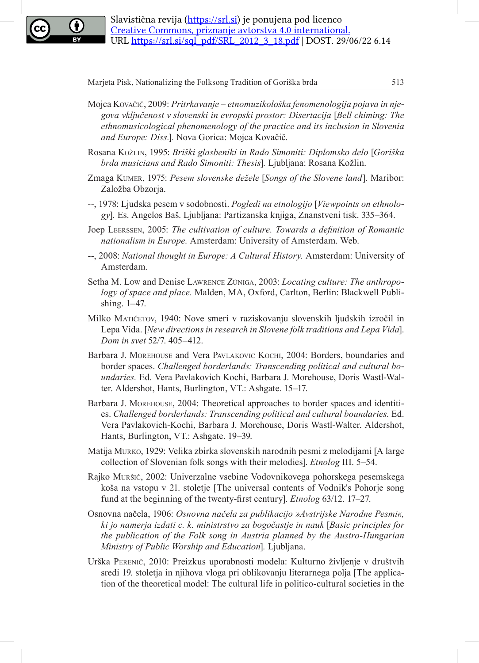

- Mojca Kovačič, 2009: *Pritrkavanje etnomuzikološka fenomenologija pojava in njegova vključenost v slovenski in evropski prostor: Disertacija* [*Bell chiming: The ethnomusicological phenomenology of the practice and its inclusion in Slovenia and Europe: Diss.*]*.* Nova Gorica: Mojca Kovačič.
- Rosana Kožlin, 1995: *Briški glasbeniki in Rado Simoniti: Diplomsko delo* [*Goriška brda musicians and Rado Simoniti: Thesis*]*.* Ljubljana: Rosana Kožlin.
- Zmaga Kumer, 1975: *Pesem slovenske dežele* [*Songs of the Slovene land*]*.* Maribor: Založba Obzorja.
- --, 1978: Ljudska pesem v sodobnosti. *Pogledi na etnologijo* [*Viewpoints on ethnology*]*.* Es. Angelos Baš. Ljubljana: Partizanska knjiga, Znanstveni tisk. 335–364.
- Joep Leerssen, 2005: *The cultivation of culture. Towards a definition of Romantic nationalism in Europe.* Amsterdam: University of Amsterdam. Web.
- --, 2008: *National thought in Europe: A Cultural History.* Amsterdam: University of Amsterdam.
- Setha M. Low and Denise Lawrence Zúniga, 2003: *Locating culture: The anthropology of space and place.* Malden, MA, Oxford, Carlton, Berlin: Blackwell Publishing. 1–47.
- Milko MATIČETOV, 1940: Nove smeri v raziskovanju slovenskih ljudskih izročil in Lepa Vida. [*New directions in research in Slovene folk traditions and Lepa Vida*]. *Dom in svet* 52/7. 405–412.
- Barbara J. MOREHOUSE and Vera PAVLAKOVIC KOCHI, 2004: Borders, boundaries and border spaces. *Challenged borderlands: Transcending political and cultural boundaries.* Ed. Vera Pavlakovich Kochi, Barbara J. Morehouse, Doris Wastl-Walter. Aldershot, Hants, Burlington, VT.: Ashgate. 15–17.
- Barbara J. MOREHOUSE, 2004: Theoretical approaches to border spaces and identities. *Challenged borderlands: Transcending political and cultural boundaries.* Ed. Vera Pavlakovich-Kochi, Barbara J. Morehouse, Doris Wastl-Walter. Aldershot, Hants, Burlington, VT.: Ashgate. 19–39.
- Matija Murko, 1929: Velika zbirka slovenskih narodnih pesmi z melodijami [A large collection of Slovenian folk songs with their melodies]. *Etnolog* III. 5–54.
- Rajko Muršič, 2002: Univerzalne vsebine Vodovnikovega pohorskega pesemskega koša na vstopu v 21. stoletje [The universal contents of Vodnik's Pohorje song fund at the beginning of the twenty-first century]. *Etnolog* 63/12. 17–27.
- Osnovna načela, 1906: *Osnovna načela za publikacijo »Avstrijske Narodne Pesmi«, ki jo namerja izdati c. k. ministrstvo za bogočastje in nauk* [*Basic principles for the publication of the Folk song in Austria planned by the Austro-Hungarian Ministry of Public Worship and Education*]*.* Ljubljana.
- Urška Perenič, 2010: Preizkus uporabnosti modela: Kulturno življenje v društvih sredi 19. stoletja in njihova vloga pri oblikovanju literarnega polja [The application of the theoretical model: The cultural life in politico-cultural societies in the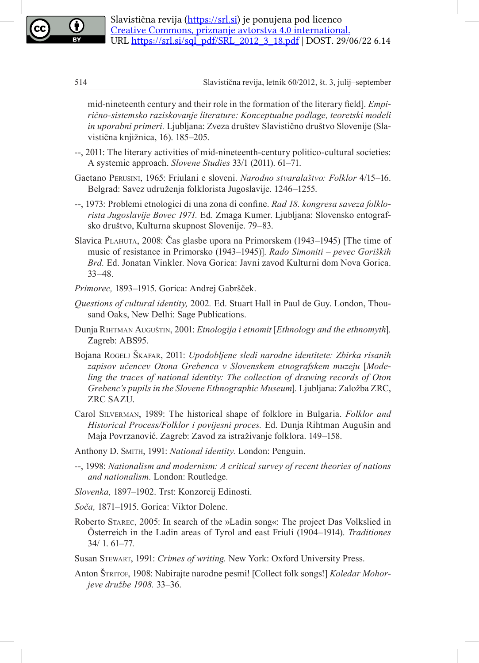

mid-nineteenth century and their role in the formation of the literary field]. *Empirično-sistemsko raziskovanje literature: Konceptualne podlage, teoretski modeli in uporabni primeri.* Ljubljana: Zveza društev Slavistično društvo Slovenije (Slavistična knjižnica, 16). 185–205.

- --, 2011: The literary activities of mid-nineteenth-century politico-cultural societies: A systemic approach. *Slovene Studies* 33/1 (2011). 61–71.
- Gaetano Perusini, 1965: Friulani e sloveni. *Narodno stvaralaštvo: Folklor* 4/15–16. Belgrad: Savez udruženja folklorista Jugoslavije. 1246–1255.
- --, 1973: Problemi etnologici di una zona di confine. *Rad 18. kongresa saveza folklorista Jugoslavije Bovec 1971.* Ed. Zmaga Kumer. Ljubljana: Slovensko entografsko društvo, Kulturna skupnost Slovenije. 79–83.
- Slavica Plahuta, 2008: Čas glasbe upora na Primorskem (1943–1945) [The time of music of resistance in Primorsko (1943–1945)]. *Rado Simoniti – pevec Goriških Brd.* Ed. Jonatan Vinkler. Nova Gorica: Javni zavod Kulturni dom Nova Gorica. 33–48.
- *Primorec,* 1893–1915. Gorica: Andrej Gabršček.
- *Questions of cultural identity,* 2002*.* Ed. Stuart Hall in Paul de Guy. London, Thousand Oaks, New Delhi: Sage Publications.
- Dunja Rihtman Auguštin, 2001: *Etnologija i etnomit* [*Ethnology and the ethnomyth*]*.* Zagreb: ABS95.
- Bojana Rogelj Škafar, 2011: *Upodobljene sledi narodne identitete: Zbirka risanih zapisov učencev Otona Grebenca v Slovenskem etnografskem muzeju* [*Modeling the traces of national identity: The collection of drawing records of Oton Grebenc's pupils in the Slovene Ethnographic Museum*]*.* Ljubljana: Založba ZRC, ZRC SAZU.
- Carol Silverman, 1989: The historical shape of folklore in Bulgaria. *Folklor and Historical Process/Folklor i povijesni proces.* Ed. Dunja Rihtman Augušin and Maja Povrzanović. Zagreb: Zavod za istraživanje folklora. 149–158.
- Anthony D. Smith, 1991: *National identity.* London: Penguin.
- --, 1998: *Nationalism and modernism: A critical survey of recent theories of nations and nationalism.* London: Routledge.
- *Slovenka,* 1897–1902. Trst: Konzorcij Edinosti.
- *Soča,* 1871–1915. Gorica: Viktor Dolenc.
- Roberto Starec, 2005: In search of the »Ladin song«: The project Das Volkslied in Österreich in the Ladin areas of Tyrol and east Friuli (1904–1914). *Traditiones*  34/ 1. 61–77.
- Susan Stewart, 1991: *Crimes of writing.* New York: Oxford University Press.
- Anton Štritof, 1908: Nabirajte narodne pesmi! [Collect folk songs!] *Koledar Mohorjeve družbe 1908.* 33–36.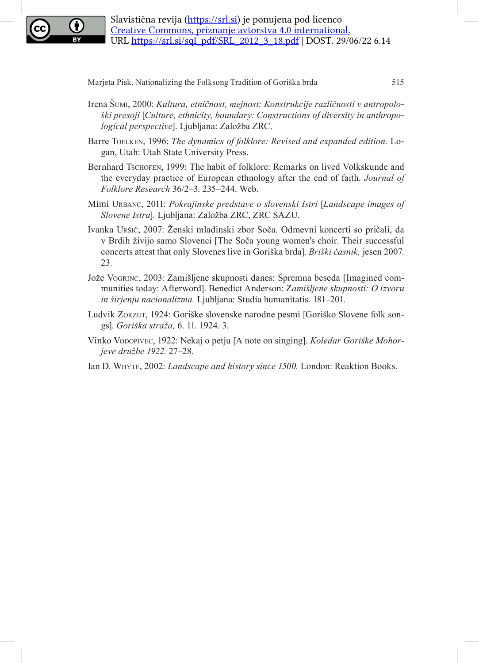

- Irena Šumi, 2000: *Kultura, etničnost, mejnost: Konstrukcije različnosti v antropološki presoji* [*Culture, ethnicity, boundary: Constructions of diversity in anthropological perspective*]. Ljubljana: Založba ZRC.
- Barre Toelken, 1996: *The dynamics of folklore: Revised and expanded edition.* Logan, Utah: Utah State University Press.
- Bernhard Tschofen, 1999: The habit of folklore: Remarks on lived Volkskunde and the everyday practice of European ethnology after the end of faith. *Journal of Folklore Research* 36/2–3. 235–244. Web.
- Mimi Urbanc, 2011: *Pokrajinske predstave o slovenski Istri* [*Landscape images of Slovene Istra*]*.* Ljubljana: Založba ZRC, ZRC SAZU.
- Ivanka Uršič, 2007: Ženski mladinski zbor Soča. Odmevni koncerti so pričali, da v Brdih živijo samo Slovenci [The Soča young women's choir. Their successful concerts attest that only Slovenes live in Goriška brda]. *Briški časnik,* jesen 2007. 23.
- Jože Vogrinc, 2003: Zamišljene skupnosti danes: Spremna beseda [Imagined communities today: Afterword]. Benedict Anderson: Z*amišljene skupnosti: O izvoru in širjenju nacionalizma.* Ljubljana: Studia humanitatis. 181–201.
- Ludvik Zorzut, 1924: Goriške slovenske narodne pesmi [Goriško Slovene folk songs]. *Goriška straža,* 6. 11. 1924. 3.
- Vinko Vodopivec, 1922: Nekaj o petju [A note on singing]. *Koledar Goriške Mohorjeve družbe 1922.* 27–28.
- Ian D. Whyte, 2002: *Landscape and history since 1500.* London: Reaktion Books.